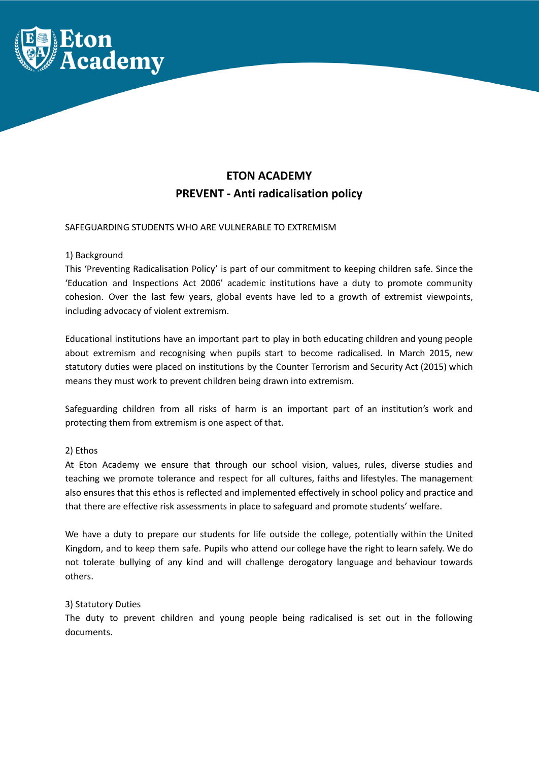

# **ETON ACADEMY PREVENT - Anti radicalisation policy**

# SAFEGUARDING STUDENTS WHO ARE VULNERABLE TO EXTREMISM

## 1) Background

This 'Preventing Radicalisation Policy' is part of our commitment to keeping children safe. Since the 'Education and Inspections Act 2006' academic institutions have a duty to promote community cohesion. Over the last few years, global events have led to a growth of extremist viewpoints, including advocacy of violent extremism.

Educational institutions have an important part to play in both educating children and young people about extremism and recognising when pupils start to become radicalised. In March 2015, new statutory duties were placed on institutions by the Counter Terrorism and Security Act (2015) which means they must work to prevent children being drawn into extremism.

Safeguarding children from all risks of harm is an important part of an institution's work and protecting them from extremism is one aspect of that.

## 2) Ethos

At Eton Academy we ensure that through our school vision, values, rules, diverse studies and teaching we promote tolerance and respect for all cultures, faiths and lifestyles. The management also ensures that this ethos is reflected and implemented effectively in school policy and practice and that there are effective risk assessments in place to safeguard and promote students' welfare.

We have a duty to prepare our students for life outside the college, potentially within the United Kingdom, and to keep them safe. Pupils who attend our college have the right to learn safely. We do not tolerate bullying of any kind and will challenge derogatory language and behaviour towards others.

## 3) Statutory Duties

The duty to prevent children and young people being radicalised is set out in the following documents.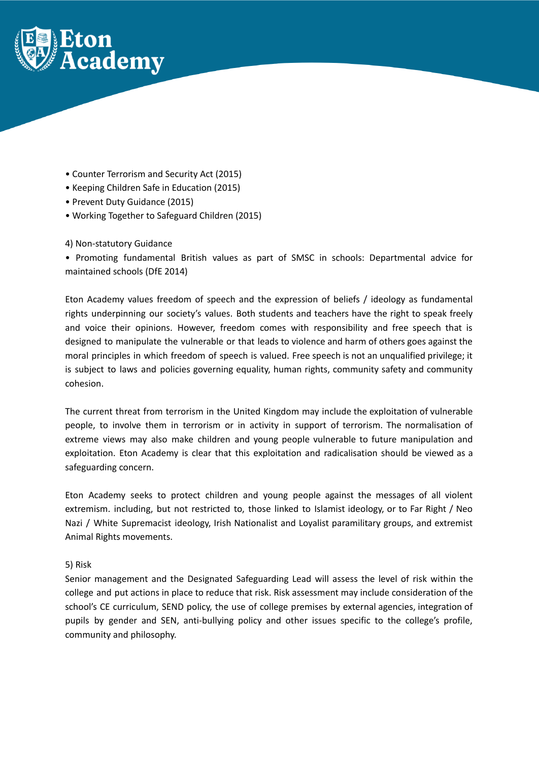

- Counter Terrorism and Security Act (2015)
- Keeping Children Safe in Education (2015)
- Prevent Duty Guidance (2015)
- Working Together to Safeguard Children (2015)

# 4) Non-statutory Guidance

• Promoting fundamental British values as part of SMSC in schools: Departmental advice for maintained schools (DfE 2014)

Eton Academy values freedom of speech and the expression of beliefs / ideology as fundamental rights underpinning our society's values. Both students and teachers have the right to speak freely and voice their opinions. However, freedom comes with responsibility and free speech that is designed to manipulate the vulnerable or that leads to violence and harm of others goes against the moral principles in which freedom of speech is valued. Free speech is not an unqualified privilege; it is subject to laws and policies governing equality, human rights, community safety and community cohesion.

The current threat from terrorism in the United Kingdom may include the exploitation of vulnerable people, to involve them in terrorism or in activity in support of terrorism. The normalisation of extreme views may also make children and young people vulnerable to future manipulation and exploitation. Eton Academy is clear that this exploitation and radicalisation should be viewed as a safeguarding concern.

Eton Academy seeks to protect children and young people against the messages of all violent extremism. including, but not restricted to, those linked to Islamist ideology, or to Far Right / Neo Nazi / White Supremacist ideology, Irish Nationalist and Loyalist paramilitary groups, and extremist Animal Rights movements.

## 5) Risk

Senior management and the Designated Safeguarding Lead will assess the level of risk within the college and put actions in place to reduce that risk. Risk assessment may include consideration of the school's CE curriculum, SEND policy, the use of college premises by external agencies, integration of pupils by gender and SEN, anti-bullying policy and other issues specific to the college's profile, community and philosophy.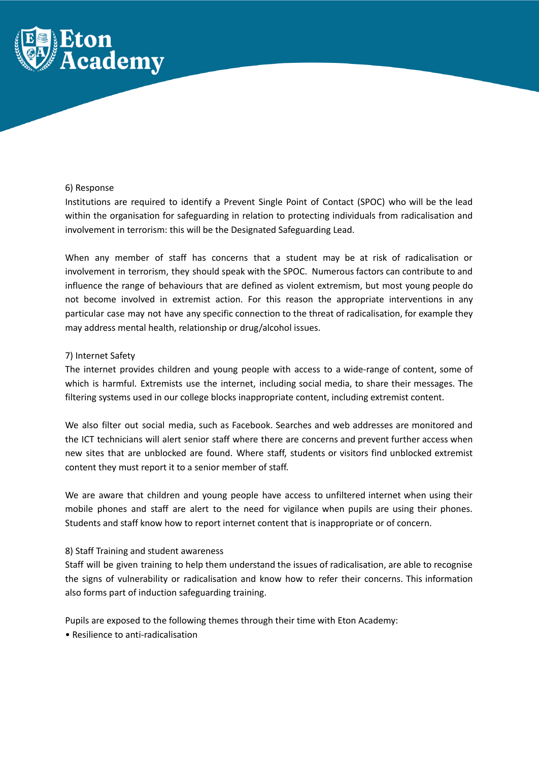

## 6) Response

Institutions are required to identify a Prevent Single Point of Contact (SPOC) who will be the lead within the organisation for safeguarding in relation to protecting individuals from radicalisation and involvement in terrorism: this will be the Designated Safeguarding Lead.

When any member of staff has concerns that a student may be at risk of radicalisation or involvement in terrorism, they should speak with the SPOC. Numerous factors can contribute to and influence the range of behaviours that are defined as violent extremism, but most young people do not become involved in extremist action. For this reason the appropriate interventions in any particular case may not have any specific connection to the threat of radicalisation, for example they may address mental health, relationship or drug/alcohol issues.

# 7) Internet Safety

The internet provides children and young people with access to a wide-range of content, some of which is harmful. Extremists use the internet, including social media, to share their messages. The filtering systems used in our college blocks inappropriate content, including extremist content.

We also filter out social media, such as Facebook. Searches and web addresses are monitored and the ICT technicians will alert senior staff where there are concerns and prevent further access when new sites that are unblocked are found. Where staff, students or visitors find unblocked extremist content they must report it to a senior member of staff.

We are aware that children and young people have access to unfiltered internet when using their mobile phones and staff are alert to the need for vigilance when pupils are using their phones. Students and staff know how to report internet content that is inappropriate or of concern.

## 8) Staff Training and student awareness

Staff will be given training to help them understand the issues of radicalisation, are able to recognise the signs of vulnerability or radicalisation and know how to refer their concerns. This information also forms part of induction safeguarding training.

Pupils are exposed to the following themes through their time with Eton Academy:

• Resilience to anti-radicalisation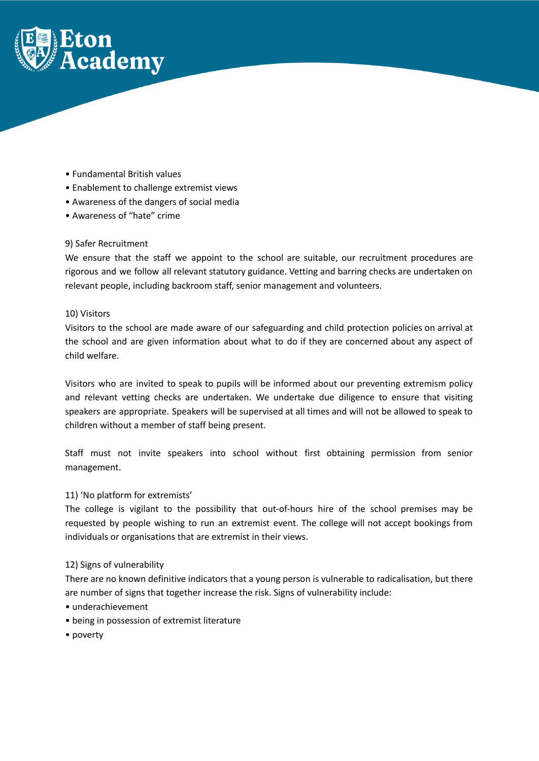

- Fundamental British values
- Enablement to challenge extremist views
- Awareness of the dangers of social media
- Awareness of "hate" crime

# 9) Safer Recruitment

We ensure that the staff we appoint to the school are suitable, our recruitment procedures are rigorous and we follow all relevant statutory guidance. Vetting and barring checks are undertaken on relevant people, including backroom staff, senior management and volunteers.

## 10) Visitors

Visitors to the school are made aware of our safeguarding and child protection policies on arrival at the school and are given information about what to do if they are concerned about any aspect of child welfare.

Visitors who are invited to speak to pupils will be informed about our preventing extremism policy and relevant vetting checks are undertaken. We undertake due diligence to ensure that visiting speakers are appropriate. Speakers will be supervised at all times and will not be allowed to speak to children without a member of staff being present.

Staff must not invite speakers into school without first obtaining permission from senior management.

## 11) 'No platform for extremists'

The college is vigilant to the possibility that out-of-hours hire of the school premises may be requested by people wishing to run an extremist event. The college will not accept bookings from individuals or organisations that are extremist in their views.

#### 12) Signs of vulnerability

There are no known definitive indicators that a young person is vulnerable to radicalisation, but there are number of signs that together increase the risk. Signs of vulnerability include:

- underachievement
- being in possession of extremist literature
- poverty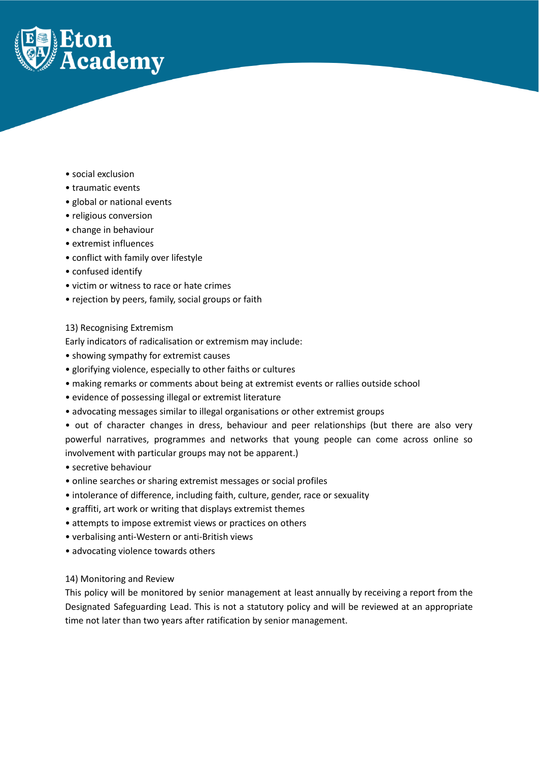

- social exclusion
- traumatic events
- global or national events
- religious conversion
- change in behaviour
- extremist influences
- conflict with family over lifestyle
- confused identify
- victim or witness to race or hate crimes
- rejection by peers, family, social groups or faith

#### 13) Recognising Extremism

Early indicators of radicalisation or extremism may include:

- showing sympathy for extremist causes
- glorifying violence, especially to other faiths or cultures
- making remarks or comments about being at extremist events or rallies outside school
- evidence of possessing illegal or extremist literature
- advocating messages similar to illegal organisations or other extremist groups
- out of character changes in dress, behaviour and peer relationships (but there are also very powerful narratives, programmes and networks that young people can come across online so involvement with particular groups may not be apparent.)
- secretive behaviour
- online searches or sharing extremist messages or social profiles
- intolerance of difference, including faith, culture, gender, race or sexuality
- graffiti, art work or writing that displays extremist themes
- attempts to impose extremist views or practices on others
- verbalising anti-Western or anti-British views
- advocating violence towards others

#### 14) Monitoring and Review

This policy will be monitored by senior management at least annually by receiving a report from the Designated Safeguarding Lead. This is not a statutory policy and will be reviewed at an appropriate time not later than two years after ratification by senior management.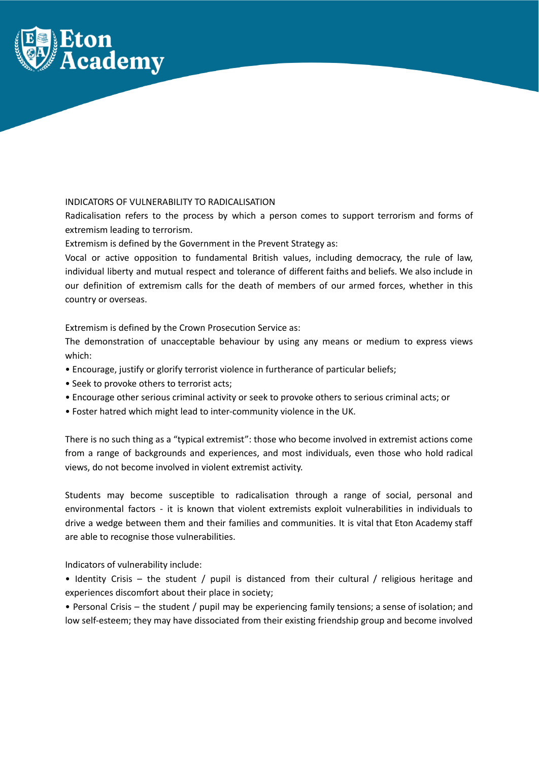

# INDICATORS OF VULNERABILITY TO RADICALISATION

Radicalisation refers to the process by which a person comes to support terrorism and forms of extremism leading to terrorism.

Extremism is defined by the Government in the Prevent Strategy as:

Vocal or active opposition to fundamental British values, including democracy, the rule of law, individual liberty and mutual respect and tolerance of different faiths and beliefs. We also include in our definition of extremism calls for the death of members of our armed forces, whether in this country or overseas.

Extremism is defined by the Crown Prosecution Service as:

The demonstration of unacceptable behaviour by using any means or medium to express views which:

- Encourage, justify or glorify terrorist violence in furtherance of particular beliefs;
- Seek to provoke others to terrorist acts;
- Encourage other serious criminal activity or seek to provoke others to serious criminal acts; or
- Foster hatred which might lead to inter-community violence in the UK.

There is no such thing as a "typical extremist": those who become involved in extremist actions come from a range of backgrounds and experiences, and most individuals, even those who hold radical views, do not become involved in violent extremist activity.

Students may become susceptible to radicalisation through a range of social, personal and environmental factors - it is known that violent extremists exploit vulnerabilities in individuals to drive a wedge between them and their families and communities. It is vital that Eton Academy staff are able to recognise those vulnerabilities.

Indicators of vulnerability include:

• Identity Crisis – the student / pupil is distanced from their cultural / religious heritage and experiences discomfort about their place in society;

• Personal Crisis – the student / pupil may be experiencing family tensions; a sense of isolation; and low self-esteem; they may have dissociated from their existing friendship group and become involved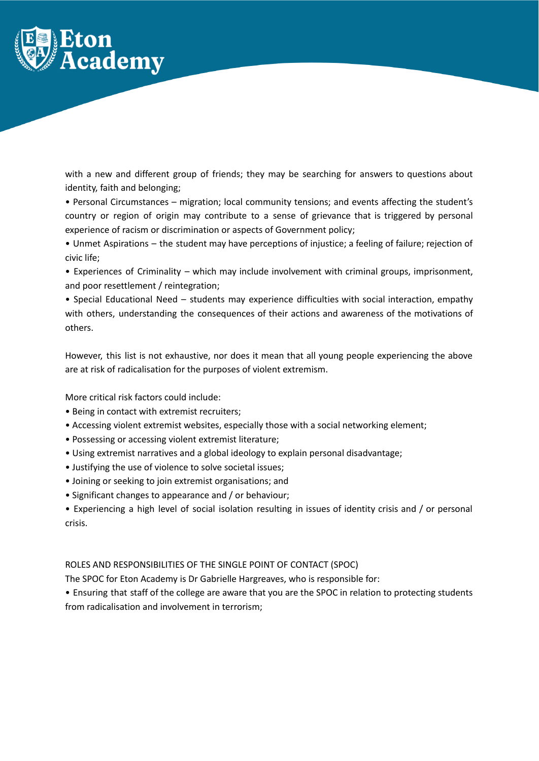

with a new and different group of friends; they may be searching for answers to questions about identity, faith and belonging;

• Personal Circumstances – migration; local community tensions; and events affecting the student's country or region of origin may contribute to a sense of grievance that is triggered by personal experience of racism or discrimination or aspects of Government policy;

• Unmet Aspirations – the student may have perceptions of injustice; a feeling of failure; rejection of civic life;

• Experiences of Criminality – which may include involvement with criminal groups, imprisonment, and poor resettlement / reintegration;

• Special Educational Need – students may experience difficulties with social interaction, empathy with others, understanding the consequences of their actions and awareness of the motivations of others.

However, this list is not exhaustive, nor does it mean that all young people experiencing the above are at risk of radicalisation for the purposes of violent extremism.

More critical risk factors could include:

- Being in contact with extremist recruiters;
- Accessing violent extremist websites, especially those with a social networking element;
- Possessing or accessing violent extremist literature;
- Using extremist narratives and a global ideology to explain personal disadvantage;
- Justifying the use of violence to solve societal issues;
- Joining or seeking to join extremist organisations; and
- Significant changes to appearance and / or behaviour;
- Experiencing a high level of social isolation resulting in issues of identity crisis and / or personal crisis.

ROLES AND RESPONSIBILITIES OF THE SINGLE POINT OF CONTACT (SPOC)

The SPOC for Eton Academy is Dr Gabrielle Hargreaves, who is responsible for:

• Ensuring that staff of the college are aware that you are the SPOC in relation to protecting students from radicalisation and involvement in terrorism;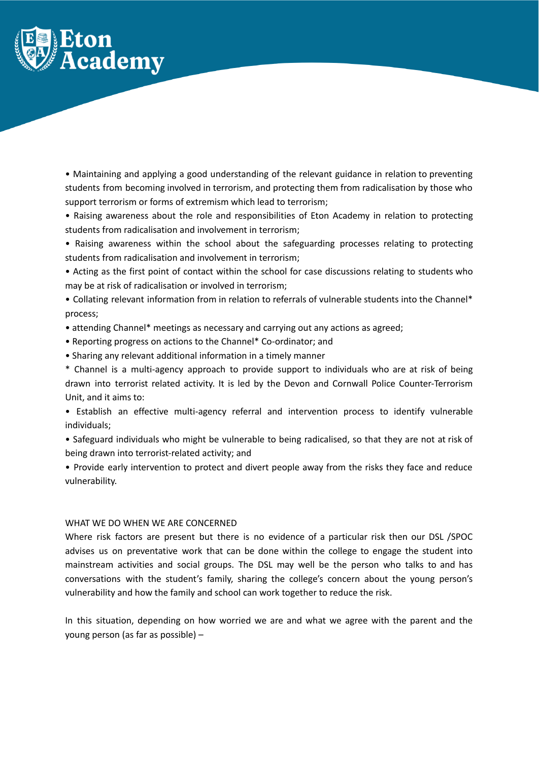

• Maintaining and applying a good understanding of the relevant guidance in relation to preventing students from becoming involved in terrorism, and protecting them from radicalisation by those who support terrorism or forms of extremism which lead to terrorism;

• Raising awareness about the role and responsibilities of Eton Academy in relation to protecting students from radicalisation and involvement in terrorism;

• Raising awareness within the school about the safeguarding processes relating to protecting students from radicalisation and involvement in terrorism;

• Acting as the first point of contact within the school for case discussions relating to students who may be at risk of radicalisation or involved in terrorism;

• Collating relevant information from in relation to referrals of vulnerable students into the Channel\* process;

• attending Channel\* meetings as necessary and carrying out any actions as agreed;

• Reporting progress on actions to the Channel\* Co-ordinator; and

• Sharing any relevant additional information in a timely manner

\* Channel is a multi-agency approach to provide support to individuals who are at risk of being drawn into terrorist related activity. It is led by the Devon and Cornwall Police Counter-Terrorism Unit, and it aims to:

• Establish an effective multi-agency referral and intervention process to identify vulnerable individuals;

• Safeguard individuals who might be vulnerable to being radicalised, so that they are not at risk of being drawn into terrorist-related activity; and

• Provide early intervention to protect and divert people away from the risks they face and reduce vulnerability.

#### WHAT WE DO WHEN WE ARE CONCERNED

Where risk factors are present but there is no evidence of a particular risk then our DSL /SPOC advises us on preventative work that can be done within the college to engage the student into mainstream activities and social groups. The DSL may well be the person who talks to and has conversations with the student's family, sharing the college's concern about the young person's vulnerability and how the family and school can work together to reduce the risk.

In this situation, depending on how worried we are and what we agree with the parent and the young person (as far as possible) –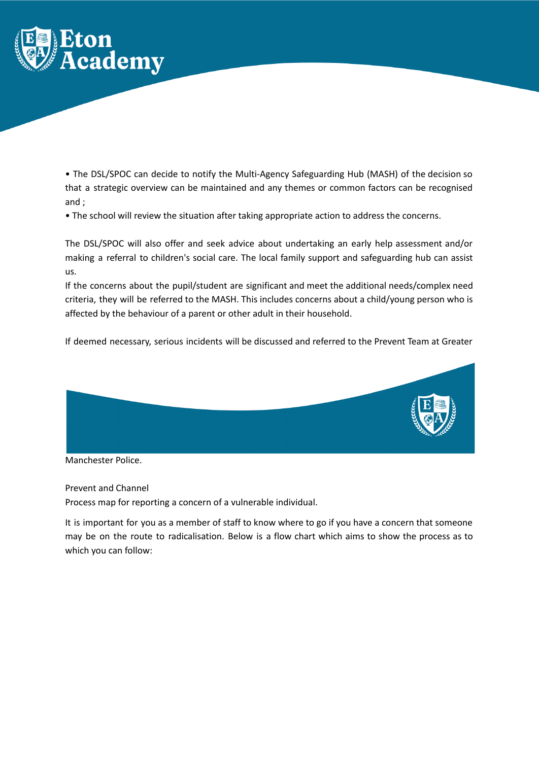

• The DSL/SPOC can decide to notify the Multi-Agency Safeguarding Hub (MASH) of the decision so that a strategic overview can be maintained and any themes or common factors can be recognised and ;

• The school will review the situation after taking appropriate action to address the concerns.

The DSL/SPOC will also offer and seek advice about undertaking an early help assessment and/or making a referral to children's social care. The local family support and safeguarding hub can assist us.

If the concerns about the pupil/student are significant and meet the additional needs/complex need criteria, they will be referred to the MASH. This includes concerns about a child/young person who is affected by the behaviour of a parent or other adult in their household.

If deemed necessary, serious incidents will be discussed and referred to the Prevent Team at Greater



Manchester Police.

Prevent and Channel

Process map for reporting a concern of a vulnerable individual.

It is important for you as a member of staff to know where to go if you have a concern that someone may be on the route to radicalisation. Below is a flow chart which aims to show the process as to which you can follow: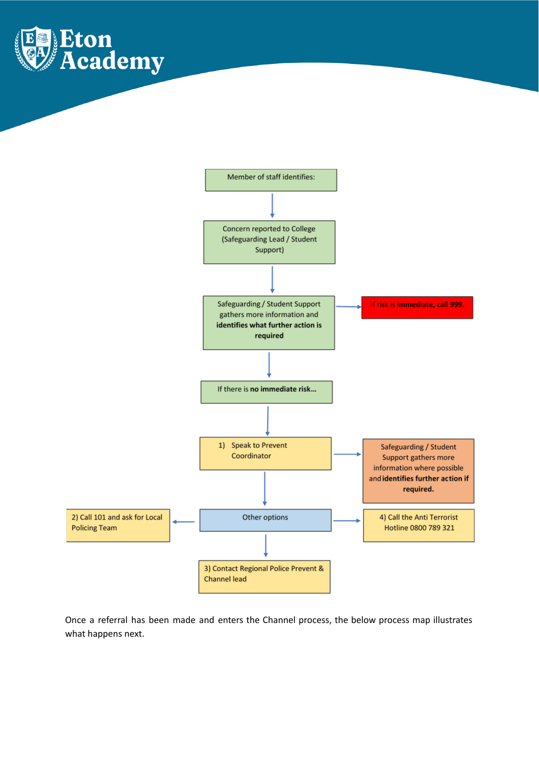



Once a referral has been made and enters the Channel process, the below process map illustrates what happens next.